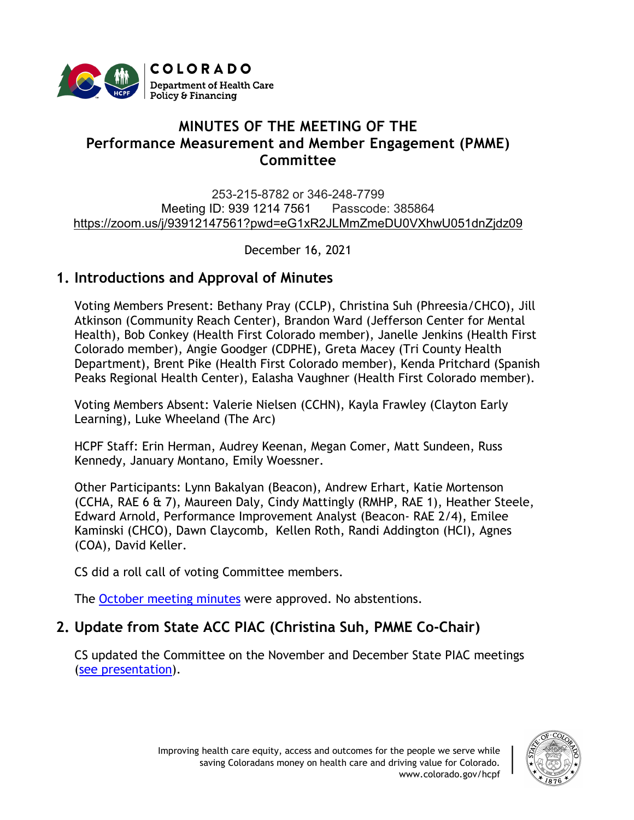

# **MINUTES OF THE MEETING OF THE Performance Measurement and Member Engagement (PMME) Committee**

253-215-8782 or 346-248-7799 Meeting ID: 939 1214 7561 Passcode: 385864 [https://zoom.us/j/93912147561?pwd=eG1xR2JLMmZmeDU0VXhwU051dnZjdz09](https://urldefense.proofpoint.com/v2/url?u=https-3A__www.google.com_url-3Fq-3Dhttps-253A-252F-252Fzoom.us-252Fj-252F93912147561-253Fpwd-253DeG1xR2JLMmZmeDU0VXhwU051dnZjdz09-26sa-3DD-26ust-3D1616530236370000-26usg-3DAOvVaw2pBOHmp3kVX1RmT87UJo0h&d=DwMFaQ&c=sdnEM9SRGFuMt5z5w3AhsPNahmNicq64TgF1JwNR0cs&r=XWoW260UwlojDCSAAnCqRfzrOLFbHxFVx9ZWew2lkos&m=gKyuBSmgRDJ6jxp0dfm5SYf1S_bKcrF8OvgCKwLVieo&s=ts5VsXoiEWnrRji4C9UDtnQYAgBWW4W-PixaYiXvtzw&e=)

December 16, 2021

## **1. Introductions and Approval of Minutes**

Voting Members Present: Bethany Pray (CCLP), Christina Suh (Phreesia/CHCO), Jill Atkinson (Community Reach Center), Brandon Ward (Jefferson Center for Mental Health), Bob Conkey (Health First Colorado member), Janelle Jenkins (Health First Colorado member), Angie Goodger (CDPHE), Greta Macey (Tri County Health Department), Brent Pike (Health First Colorado member), Kenda Pritchard (Spanish Peaks Regional Health Center), Ealasha Vaughner (Health First Colorado member).

Voting Members Absent: Valerie Nielsen (CCHN), Kayla Frawley (Clayton Early Learning), Luke Wheeland (The Arc)

HCPF Staff: Erin Herman, Audrey Keenan, Megan Comer, Matt Sundeen, Russ Kennedy, January Montano, Emily Woessner.

Other Participants: Lynn Bakalyan (Beacon), Andrew Erhart, Katie Mortenson (CCHA, RAE 6 & 7), Maureen Daly, Cindy Mattingly (RMHP, RAE 1), Heather Steele, Edward Arnold, Performance Improvement Analyst (Beacon- RAE 2/4), Emilee Kaminski (CHCO), Dawn Claycomb, Kellen Roth, Randi Addington (HCI), Agnes (COA), David Keller.

CS did a roll call of voting Committee members.

The October [meeting minutes](https://hcpf.colorado.gov/sites/hcpf/files/Performance%20Measurement%20and%20Member%20Engagement%20Minutes%20Draft%20October%202021.pdf) were approved. No abstentions.

# **2. Update from State ACC PIAC (Christina Suh, PMME Co-Chair)**

CS updated the Committee on the November and December State PIAC meetings [\(see presentation\)](https://hcpf.colorado.gov/sites/hcpf/files/Performance%20Measurement%20and%20Member%20Engagement%20Presentation%20December%202021.pdf).

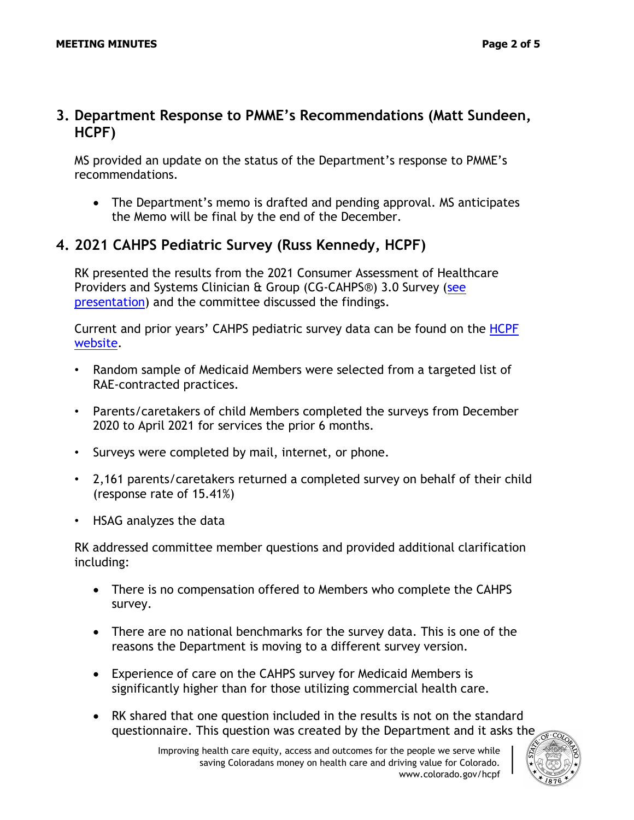MS provided an update on the status of the Department's response to PMME's recommendations.

• The Department's memo is drafted and pending approval. MS anticipates the Memo will be final by the end of the December.

### **4. 2021 CAHPS Pediatric Survey (Russ Kennedy, HCPF)**

RK presented the results from the 2021 Consumer Assessment of Healthcare Providers and Systems Clinician & Group (CG-CAHPS®) 3.0 Survey [\(see](https://hcpf.colorado.gov/sites/hcpf/files/Performance%20Measurement%20and%20Member%20Engagement%20CAHPS%20Survey%20Results%20December%202021.pdf)  [presentation\)](https://hcpf.colorado.gov/sites/hcpf/files/Performance%20Measurement%20and%20Member%20Engagement%20CAHPS%20Survey%20Results%20December%202021.pdf) and the committee discussed the findings.

Current and prior years' CAHPS pediatric survey data can be found on the [HCPF](https://hcpf.colorado.gov/client-satisfaction-surveys-cahps)  [website.](https://hcpf.colorado.gov/client-satisfaction-surveys-cahps)

- Random sample of Medicaid Members were selected from a targeted list of RAE-contracted practices.
- Parents/caretakers of child Members completed the surveys from December 2020 to April 2021 for services the prior 6 months.
- Surveys were completed by mail, internet, or phone.
- 2,161 parents/caretakers returned a completed survey on behalf of their child (response rate of 15.41%)
- HSAG analyzes the data

RK addressed committee member questions and provided additional clarification including:

- There is no compensation offered to Members who complete the CAHPS survey.
- There are no national benchmarks for the survey data. This is one of the reasons the Department is moving to a different survey version.
- Experience of care on the CAHPS survey for Medicaid Members is significantly higher than for those utilizing commercial health care.
- RK shared that one question included in the results is not on the standard questionnaire. This question was created by the Department and it asks the

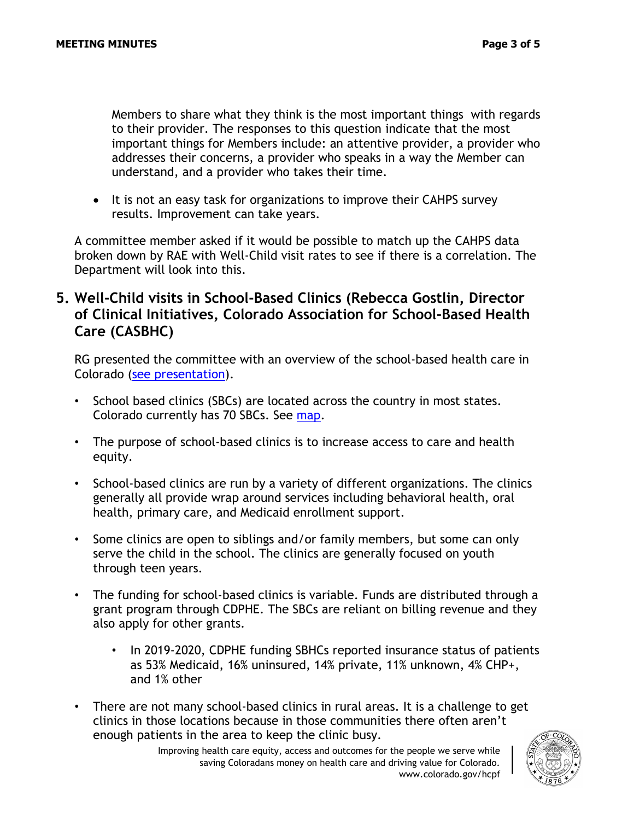Members to share what they think is the most important things with regards to their provider. The responses to this question indicate that the most important things for Members include: an attentive provider, a provider who addresses their concerns, a provider who speaks in a way the Member can understand, and a provider who takes their time.

• It is not an easy task for organizations to improve their CAHPS survey results. Improvement can take years.

A committee member asked if it would be possible to match up the CAHPS data broken down by RAE with Well-Child visit rates to see if there is a correlation. The Department will look into this.

### **5. Well-Child visits in School-Based Clinics (Rebecca Gostlin, Director of Clinical Initiatives, Colorado Association for School-Based Health Care (CASBHC)**

RG presented the committee with an overview of the school-based health care in Colorado [\(see presentation\)](https://hcpf.colorado.gov/sites/hcpf/files/Performance%20Measurement%20and%20Member%20Engagement%20School-Based%20Clinics%20December%202021.pdf).

- School based clinics (SBCs) are located across the country in most states. Colorado currently has 70 SBCs. See [map.](https://www.casbhc.org/sbhcmap)
- The purpose of school-based clinics is to increase access to care and health equity.
- School-based clinics are run by a variety of different organizations. The clinics generally all provide wrap around services including behavioral health, oral health, primary care, and Medicaid enrollment support.
- Some clinics are open to siblings and/or family members, but some can only serve the child in the school. The clinics are generally focused on youth through teen years.
- The funding for school-based clinics is variable. Funds are distributed through a grant program through CDPHE. The SBCs are reliant on billing revenue and they also apply for other grants.
	- In 2019-2020, CDPHE funding SBHCs reported insurance status of patients as 53% Medicaid, 16% uninsured, 14% private, 11% unknown, 4% CHP+, and 1% other
- There are not many school-based clinics in rural areas. It is a challenge to get clinics in those locations because in those communities there often aren't enough patients in the area to keep the clinic busy.

Improving health care equity, access and outcomes for the people we serve while saving Coloradans money on health care and driving value for Colorado. www.colorado.gov/hcpf

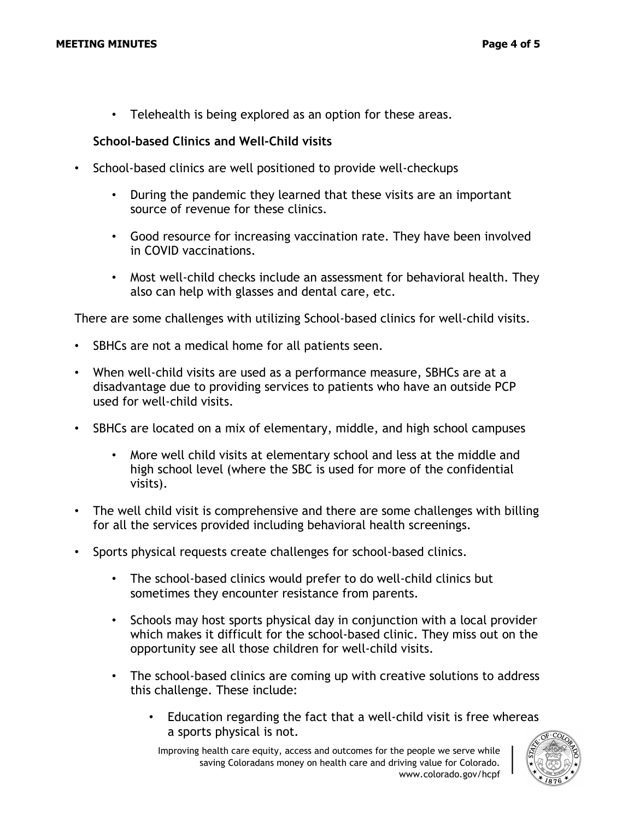• Telehealth is being explored as an option for these areas.

#### **School-based Clinics and Well-Child visits**

- School-based clinics are well positioned to provide well-checkups
	- During the pandemic they learned that these visits are an important source of revenue for these clinics.
	- Good resource for increasing vaccination rate. They have been involved in COVID vaccinations.
	- Most well-child checks include an assessment for behavioral health. They also can help with glasses and dental care, etc.

There are some challenges with utilizing School-based clinics for well-child visits.

- SBHCs are not a medical home for all patients seen.
- When well-child visits are used as a performance measure, SBHCs are at a disadvantage due to providing services to patients who have an outside PCP used for well-child visits.
- SBHCs are located on a mix of elementary, middle, and high school campuses
	- More well child visits at elementary school and less at the middle and high school level (where the SBC is used for more of the confidential visits).
- The well child visit is comprehensive and there are some challenges with billing for all the services provided including behavioral health screenings.
- Sports physical requests create challenges for school-based clinics.
	- The school-based clinics would prefer to do well-child clinics but sometimes they encounter resistance from parents.
	- Schools may host sports physical day in conjunction with a local provider which makes it difficult for the school-based clinic. They miss out on the opportunity see all those children for well-child visits.
	- The school-based clinics are coming up with creative solutions to address this challenge. These include:
		- Education regarding the fact that a well-child visit is free whereas a sports physical is not.

Improving health care equity, access and outcomes for the people we serve while saving Coloradans money on health care and driving value for Colorado. www.colorado.gov/hcpf